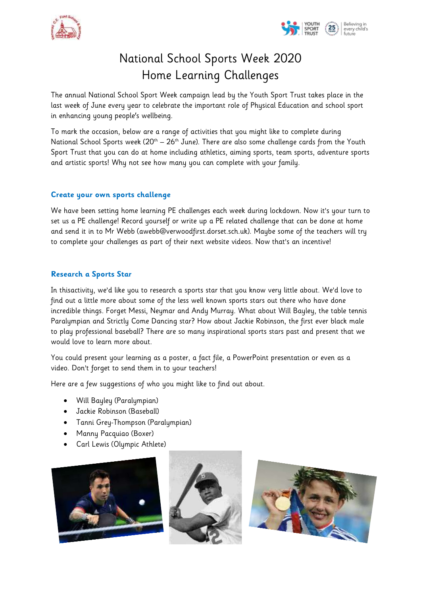



# National School Sports Week 2020 Home Learning Challenges

The annual National School Sport Week campaign lead by the Youth Sport Trust takes place in the last week of June every year to celebrate the important role of Physical Education and school sport in enhancing young people's wellbeing.

To mark the occasion, below are a range of activities that you might like to complete during National School Sports week  $(20<sup>th</sup> - 26<sup>th</sup>$  June). There are also some challenge cards from the Youth Sport Trust that you can do at home including athletics, aiming sports, team sports, adventure sports and artistic sports! Why not see how many you can complete with your family.

#### **Create your own sports challenge**

We have been setting home learning PE challenges each week during lockdown. Now it's your turn to set us a PE challenge! Record yourself or write up a PE related challenge that can be done at home and send it in to Mr Webb (awebb@verwoodfirst.dorset.sch.uk). Maybe some of the teachers will try to complete your challenges as part of their next website videos. Now that's an incentive!

## **Research a Sports Star**

In thisactivity, we'd like you to research a sports star that you know very little about. We'd love to find out a little more about some of the less well known sports stars out there who have done incredible things. Forget Messi, Neymar and Andy Murray. What about Will Bayley, the table tennis Paralympian and Strictly Come Dancing star? How about Jackie Robinson, the first ever black male to play professional baseball? There are so many inspirational sports stars past and present that we would love to learn more about.

You could present your learning as a poster, a fact file, a PowerPoint presentation or even as a video. Don't forget to send them in to your teachers!

Here are a few suggestions of who you might like to find out about.

- Will Bayley (Paralympian)
- Jackie Robinson (Baseball)
- Tanni Grey-Thompson (Paralympian)
- Manny Pacquiao (Boxer)
- Carl Lewis (Olympic Athlete)